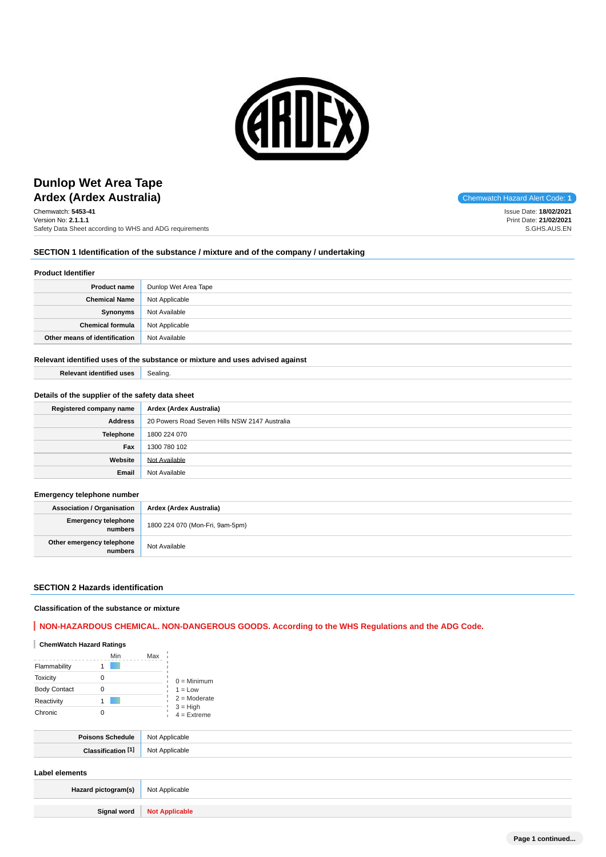

# **Ardex (Ardex Australia)** and the code: **1** Chemwatch Hazard Alert Code: **1** Chemwatch Hazard Alert Code: **1 Dunlop Wet Area Tape**

Chemwatch: **5453-41** Version No: **2.1.1.1** Safety Data Sheet according to WHS and ADG requirements

Issue Date: **18/02/2021** Print Date: **21/02/2021** S.GHS.AUS.EN

# **SECTION 1 Identification of the substance / mixture and of the company / undertaking**

# **Product Identifier**

| <b>Product name</b>           | Dunlop Wet Area Tape |
|-------------------------------|----------------------|
| <b>Chemical Name</b>          | Not Applicable       |
| Synonyms                      | Not Available        |
| <b>Chemical formula</b>       | Not Applicable       |
| Other means of identification | Not Available        |

#### **Relevant identified uses of the substance or mixture and uses advised against**

**Relevant identified uses** Sealing.

## **Details of the supplier of the safety data sheet**

| Registered company name | Ardex (Ardex Australia)                       |  |  |  |
|-------------------------|-----------------------------------------------|--|--|--|
| <b>Address</b>          | 20 Powers Road Seven Hills NSW 2147 Australia |  |  |  |
| Telephone               | 1800 224 070                                  |  |  |  |
| Fax                     | 1300 780 102                                  |  |  |  |
| Website                 | Not Available                                 |  |  |  |
| Email                   | Not Available                                 |  |  |  |

## **Emergency telephone number**

**Association / Organisation Ardex (Ardex Australia) Emergency telephone numbers** 1800 224 070 (Mon-Fri, 9am-5pm) **Other emergency telephone relephone**<br>**numbers** Not Available

## **SECTION 2 Hazards identification**

## **Classification of the substance or mixture**

# **NON-HAZARDOUS CHEMICAL. NON-DANGEROUS GOODS. According to the WHS Regulations and the ADG Code.**

# **ChemWatch Hazard Ratings**

|                     | Min | Max |                                                            |
|---------------------|-----|-----|------------------------------------------------------------|
| Flammability        |     |     |                                                            |
| <b>Toxicity</b>     | 0   |     | $0 =$ Minimum                                              |
| <b>Body Contact</b> |     |     | $1 = Low$<br>$2 =$ Moderate<br>$3 = High$<br>$4 =$ Extreme |
| Reactivity          |     |     |                                                            |
| Chronic             |     |     |                                                            |

| мc |
|----|
|    |

## **Label elements**

| Hazard pictogram(s) Not Applicable |                              |
|------------------------------------|------------------------------|
|                                    | Signal word   Not Applicable |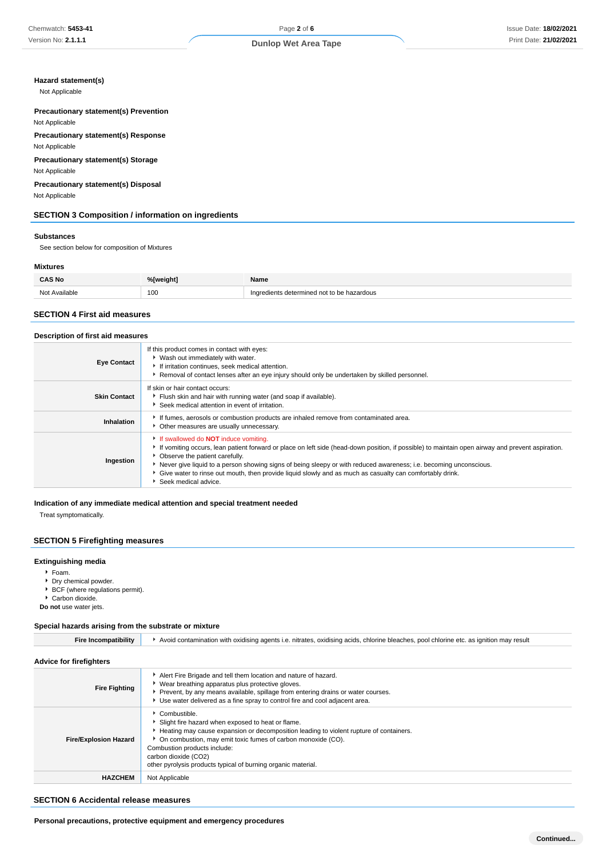## **Hazard statement(s)**

Not Applicable

**Precautionary statement(s) Prevention** Not Applicable

**Precautionary statement(s) Response**

Not Applicable

**Precautionary statement(s) Storage** Not Applicable

**Precautionary statement(s) Disposal** Not Applicable

# **SECTION 3 Composition / information on ingredients**

#### **Substances**

See section below for composition of Mixtures

#### **Mixtures**

| <b>CAS No</b> | 0/5 | lame            |
|---------------|-----|-----------------|
| $N \cap$      | 100 | rmirم.<br>rdous |

## **SECTION 4 First aid measures**

#### **Description of first aid measures**

| <b>Eye Contact</b>  | If this product comes in contact with eyes:<br>▶ Wash out immediately with water.<br>If irritation continues, seek medical attention.<br>Removal of contact lenses after an eye injury should only be undertaken by skilled personnel.                                                                                                                                                                                                                                                       |  |  |
|---------------------|----------------------------------------------------------------------------------------------------------------------------------------------------------------------------------------------------------------------------------------------------------------------------------------------------------------------------------------------------------------------------------------------------------------------------------------------------------------------------------------------|--|--|
| <b>Skin Contact</b> | If skin or hair contact occurs:<br>Flush skin and hair with running water (and soap if available).<br>Seek medical attention in event of irritation.                                                                                                                                                                                                                                                                                                                                         |  |  |
| Inhalation          | If fumes, aerosols or combustion products are inhaled remove from contaminated area.<br>Other measures are usually unnecessary.                                                                                                                                                                                                                                                                                                                                                              |  |  |
| Ingestion           | If swallowed do <b>NOT</b> induce vomiting.<br>If vomiting occurs, lean patient forward or place on left side (head-down position, if possible) to maintain open airway and prevent aspiration.<br>• Observe the patient carefully.<br>Never give liquid to a person showing signs of being sleepy or with reduced awareness; i.e. becoming unconscious.<br>Give water to rinse out mouth, then provide liquid slowly and as much as casualty can comfortably drink.<br>Seek medical advice. |  |  |

#### **Indication of any immediate medical attention and special treatment needed**

Treat symptomatically.

# **SECTION 5 Firefighting measures**

# **Extinguishing media**

- Foam.
- 
- **Dry chemical powder.** ▶ BCF (where regulations permit).
- Carbon dioxide.

**Do not** use water jets.

## **Special hazards arising from the substrate or mixture**

| <b>Fire Incompatibility</b> |  | ▶ Avoid contamination with oxidising agents i.e. nitrates, oxidising acids, chlorine bleaches, pool chlorine etc. as ignition may result |
|-----------------------------|--|------------------------------------------------------------------------------------------------------------------------------------------|
|-----------------------------|--|------------------------------------------------------------------------------------------------------------------------------------------|

## **Advice for firefighters**

| <b>AUTIVE IN THEIRING</b>    |                                                                                                                                                                                                                                                                                                                                                          |
|------------------------------|----------------------------------------------------------------------------------------------------------------------------------------------------------------------------------------------------------------------------------------------------------------------------------------------------------------------------------------------------------|
| <b>Fire Fighting</b>         | Alert Fire Brigade and tell them location and nature of hazard.<br>• Wear breathing apparatus plus protective gloves.<br>▶ Prevent, by any means available, spillage from entering drains or water courses.<br>Use water delivered as a fine spray to control fire and cool adjacent area.                                                               |
| <b>Fire/Explosion Hazard</b> | Combustible.<br>Slight fire hazard when exposed to heat or flame.<br>► Heating may cause expansion or decomposition leading to violent rupture of containers.<br>• On combustion, may emit toxic fumes of carbon monoxide (CO).<br>Combustion products include:<br>carbon dioxide (CO2)<br>other pyrolysis products typical of burning organic material. |
| <b>HAZCHEM</b>               | Not Applicable                                                                                                                                                                                                                                                                                                                                           |

#### **SECTION 6 Accidental release measures**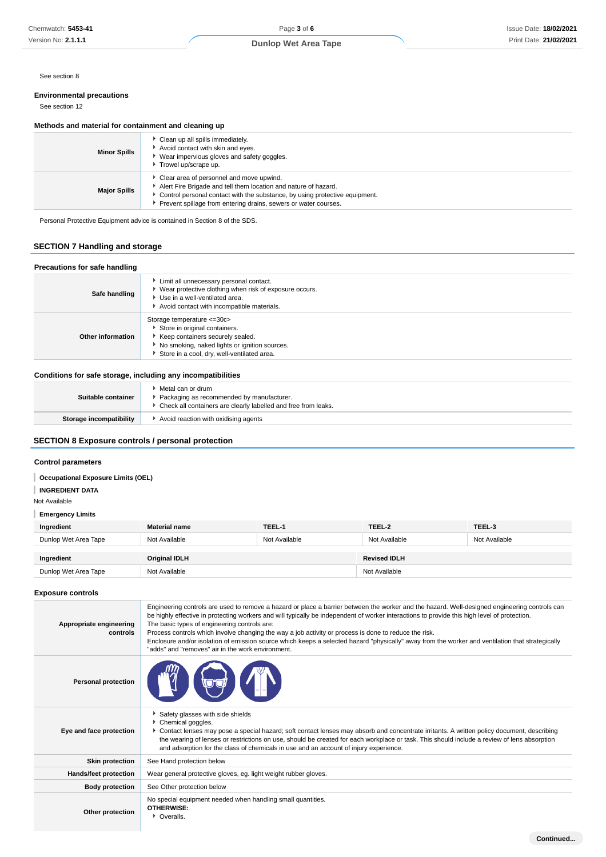See section 8

# **Environmental precautions**

See section 12

## **Methods and material for containment and cleaning up**

| <b>Minor Spills</b> | Clean up all spills immediately.<br>Avoid contact with skin and eyes.<br>▶ Wear impervious gloves and safety goggles.<br>Trowel up/scrape up.                                                                                                                 |
|---------------------|---------------------------------------------------------------------------------------------------------------------------------------------------------------------------------------------------------------------------------------------------------------|
| <b>Major Spills</b> | Clear area of personnel and move upwind.<br>Alert Fire Brigade and tell them location and nature of hazard.<br>Control personal contact with the substance, by using protective equipment.<br>Prevent spillage from entering drains, sewers or water courses. |

Personal Protective Equipment advice is contained in Section 8 of the SDS.

# **SECTION 7 Handling and storage**

#### **Precautions for safe handling Safe handling** Limit all unnecessary personal contact. Wear protective clothing when risk of exposure occurs. Use in a well-ventilated area. Avoid contact with incompatible materials. **Other information** Storage temperature <=30c> Store in original containers. Keep containers securely sealed.  $\bullet$  No smoking, naked lights or ignition sources. Store in a cool, dry, well-ventilated area.

# **Conditions for safe storage, including any incompatibilities**

| Suitable container      | ▸ Metal can or drum<br>Packaging as recommended by manufacturer.<br>▶ Check all containers are clearly labelled and free from leaks. |
|-------------------------|--------------------------------------------------------------------------------------------------------------------------------------|
| Storage incompatibility | Avoid reaction with oxidising agents                                                                                                 |

# **SECTION 8 Exposure controls / personal protection**

## **Control parameters**

**Occupational Exposure Limits (OEL)**

## **INGREDIENT DATA**

Not Available

#### **Emergency Limits**

| Ingredient           | <b>Material name</b> | TEEL-1        | TEEL-2              | TEEL-3        |
|----------------------|----------------------|---------------|---------------------|---------------|
| Dunlop Wet Area Tape | Not Available        | Not Available | Not Available       | Not Available |
|                      |                      |               |                     |               |
| Ingredient           | <b>Original IDLH</b> |               | <b>Revised IDLH</b> |               |
| Dunlop Wet Area Tape | Not Available        |               | Not Available       |               |

## **Exposure controls**

| Appropriate engineering<br>controls | Engineering controls are used to remove a hazard or place a barrier between the worker and the hazard. Well-designed engineering controls can<br>be highly effective in protecting workers and will typically be independent of worker interactions to provide this high level of protection.<br>The basic types of engineering controls are:<br>Process controls which involve changing the way a job activity or process is done to reduce the risk.<br>Enclosure and/or isolation of emission source which keeps a selected hazard "physically" away from the worker and ventilation that strategically<br>"adds" and "removes" air in the work environment. |
|-------------------------------------|-----------------------------------------------------------------------------------------------------------------------------------------------------------------------------------------------------------------------------------------------------------------------------------------------------------------------------------------------------------------------------------------------------------------------------------------------------------------------------------------------------------------------------------------------------------------------------------------------------------------------------------------------------------------|
| <b>Personal protection</b>          |                                                                                                                                                                                                                                                                                                                                                                                                                                                                                                                                                                                                                                                                 |
| Eye and face protection             | Safety glasses with side shields<br>Chemical goggles.<br>Contact lenses may pose a special hazard; soft contact lenses may absorb and concentrate irritants. A written policy document, describing<br>the wearing of lenses or restrictions on use, should be created for each workplace or task. This should include a review of lens absorption<br>and adsorption for the class of chemicals in use and an account of injury experience.                                                                                                                                                                                                                      |
| <b>Skin protection</b>              | See Hand protection below                                                                                                                                                                                                                                                                                                                                                                                                                                                                                                                                                                                                                                       |
| Hands/feet protection               | Wear general protective gloves, eg. light weight rubber gloves.                                                                                                                                                                                                                                                                                                                                                                                                                                                                                                                                                                                                 |
| <b>Body protection</b>              | See Other protection below                                                                                                                                                                                                                                                                                                                                                                                                                                                                                                                                                                                                                                      |
| Other protection                    | No special equipment needed when handling small quantities.<br>OTHERWISE:<br>• Overalls.                                                                                                                                                                                                                                                                                                                                                                                                                                                                                                                                                                        |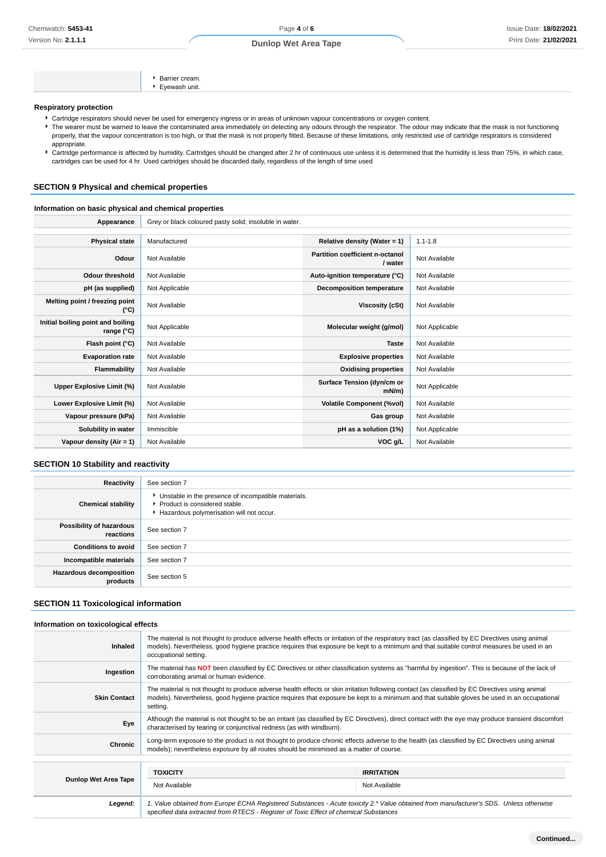**Dunlop Wet Area Tape**

|  | <b>Respiratory protection</b> |
|--|-------------------------------|
|  |                               |

- Cartridge respirators should never be used for emergency ingress or in areas of unknown vapour concentrations or oxygen content.
- The wearer must be warned to leave the contaminated area immediately on detecting any odours through the respirator. The odour may indicate that the mask is not functioning properly, that the vapour concentration is too high, or that the mask is not properly fitted. Because of these limitations, only restricted use of cartridge respirators is considered appropriate.
- Fartridge performance is affected by humidity. Cartridges should be changed after 2 hr of continuous use unless it is determined that the humidity is less than 75%, in which case, cartridges can be used for 4 hr. Used cartridges should be discarded daily, regardless of the length of time used

## **SECTION 9 Physical and chemical properties**

## **Information on basic physical and chemical properties**

Appearance Grey or black coloured pasty solid; insoluble in water.

Barrier cream. Eyewash unit.

| <b>Physical state</b>                           | Manufactured   | Relative density (Water = $1$ )            | $1.1 - 1.8$    |
|-------------------------------------------------|----------------|--------------------------------------------|----------------|
| Odour                                           | Not Available  | Partition coefficient n-octanol<br>/ water | Not Available  |
| <b>Odour threshold</b>                          | Not Available  | Auto-ignition temperature (°C)             | Not Available  |
| pH (as supplied)                                | Not Applicable | <b>Decomposition temperature</b>           | Not Available  |
| Melting point / freezing point<br>(°C)          | Not Available  | Viscosity (cSt)                            | Not Available  |
| Initial boiling point and boiling<br>range (°C) | Not Applicable | Molecular weight (g/mol)                   | Not Applicable |
| Flash point (°C)                                | Not Available  | <b>Taste</b>                               | Not Available  |
| <b>Evaporation rate</b>                         | Not Available  | <b>Explosive properties</b>                | Not Available  |
| Flammability                                    | Not Available  | <b>Oxidising properties</b>                | Not Available  |
| Upper Explosive Limit (%)                       | Not Available  | Surface Tension (dyn/cm or<br>$mN/m$ )     | Not Applicable |
| Lower Explosive Limit (%)                       | Not Available  | <b>Volatile Component (%vol)</b>           | Not Available  |
| Vapour pressure (kPa)                           | Not Available  | Gas group                                  | Not Available  |
| Solubility in water                             | Immiscible     | pH as a solution (1%)                      | Not Applicable |
| Vapour density (Air = 1)                        | Not Available  | VOC g/L                                    | Not Available  |

# **SECTION 10 Stability and reactivity**

| Reactivity                            | See section 7                                                                                                                    |
|---------------------------------------|----------------------------------------------------------------------------------------------------------------------------------|
| <b>Chemical stability</b>             | Unstable in the presence of incompatible materials.<br>Product is considered stable.<br>Hazardous polymerisation will not occur. |
| Possibility of hazardous<br>reactions | See section 7                                                                                                                    |
| <b>Conditions to avoid</b>            | See section 7                                                                                                                    |
| Incompatible materials                | See section 7                                                                                                                    |
| Hazardous decomposition<br>products   | See section 5                                                                                                                    |

# **SECTION 11 Toxicological information**

#### **Information on toxicological effects**

| <b>Inhaled</b>              | The material is not thought to produce adverse health effects or irritation of the respiratory tract (as classified by EC Directives using animal<br>models). Nevertheless, good hygiene practice requires that exposure be kept to a minimum and that suitable control measures be used in an<br>occupational setting. |                                                                                                                                                                                                                                                                                                 |  |
|-----------------------------|-------------------------------------------------------------------------------------------------------------------------------------------------------------------------------------------------------------------------------------------------------------------------------------------------------------------------|-------------------------------------------------------------------------------------------------------------------------------------------------------------------------------------------------------------------------------------------------------------------------------------------------|--|
| Ingestion                   | The material has NOT been classified by EC Directives or other classification systems as "harmful by ingestion". This is because of the lack of<br>corroborating animal or human evidence.                                                                                                                              |                                                                                                                                                                                                                                                                                                 |  |
| <b>Skin Contact</b>         | setting.                                                                                                                                                                                                                                                                                                                | The material is not thought to produce adverse health effects or skin irritation following contact (as classified by EC Directives using animal<br>models). Nevertheless, good hygiene practice requires that exposure be kept to a minimum and that suitable gloves be used in an occupational |  |
| Eye                         | Although the material is not thought to be an irritant (as classified by EC Directives), direct contact with the eye may produce transient discomfort<br>characterised by tearing or conjunctival redness (as with windburn).                                                                                           |                                                                                                                                                                                                                                                                                                 |  |
| Chronic                     | models); nevertheless exposure by all routes should be minimised as a matter of course.                                                                                                                                                                                                                                 | Long-term exposure to the product is not thought to produce chronic effects adverse to the health (as classified by EC Directives using animal                                                                                                                                                  |  |
|                             |                                                                                                                                                                                                                                                                                                                         |                                                                                                                                                                                                                                                                                                 |  |
|                             | <b>TOXICITY</b>                                                                                                                                                                                                                                                                                                         | <b>IRRITATION</b>                                                                                                                                                                                                                                                                               |  |
| <b>Dunlop Wet Area Tape</b> | Not Available                                                                                                                                                                                                                                                                                                           | Not Available                                                                                                                                                                                                                                                                                   |  |
| Legend:                     | specified data extracted from RTECS - Register of Toxic Effect of chemical Substances                                                                                                                                                                                                                                   | 1. Value obtained from Europe ECHA Registered Substances - Acute toxicity 2.* Value obtained from manufacturer's SDS. Unless otherwise                                                                                                                                                          |  |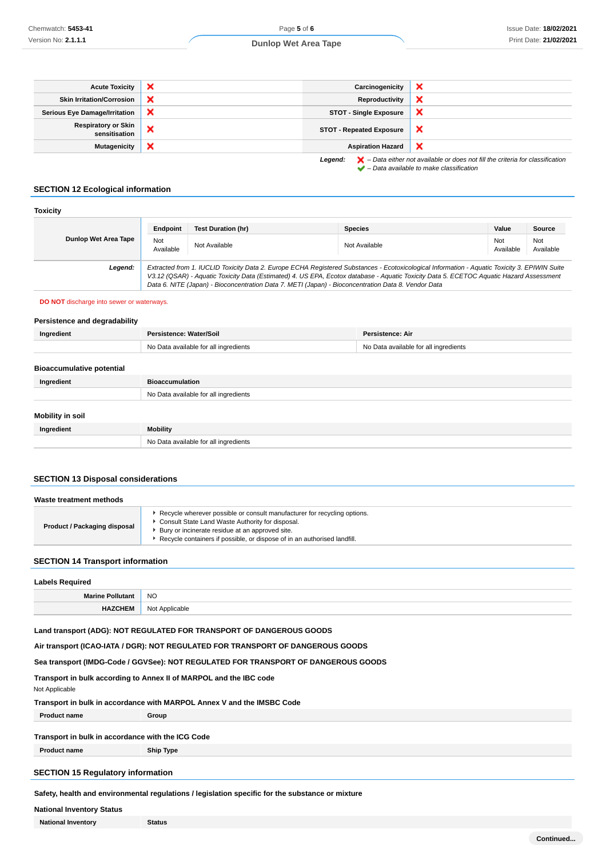## **Dunlop Wet Area Tape**

| <b>Acute Toxicity</b>                       | $\boldsymbol{\mathsf{x}}$ | Carcinogenicity                 | ×                                                                                                  |
|---------------------------------------------|---------------------------|---------------------------------|----------------------------------------------------------------------------------------------------|
| <b>Skin Irritation/Corrosion</b>            | ×                         | Reproductivity                  | ×                                                                                                  |
| <b>Serious Eye Damage/Irritation</b>        | ×                         | <b>STOT - Single Exposure</b>   | ×                                                                                                  |
| <b>Respiratory or Skin</b><br>sensitisation | ×                         | <b>STOT - Repeated Exposure</b> | ×                                                                                                  |
| <b>Mutagenicity</b>                         | ×                         | <b>Aspiration Hazard</b>        | ×                                                                                                  |
|                                             |                           | Legend:                         | $\blacktriangleright$ - Data either not available or does not fill the criteria for classification |

 $\blacktriangleright$  – Data available to make classification

# **SECTION 12 Ecological information**

| <b>Toxicity</b>      |                  |                                                                                                     |                                                                                                                                                                                                                                                                                          |                  |                  |
|----------------------|------------------|-----------------------------------------------------------------------------------------------------|------------------------------------------------------------------------------------------------------------------------------------------------------------------------------------------------------------------------------------------------------------------------------------------|------------------|------------------|
|                      | Endpoint         | Test Duration (hr)                                                                                  | <b>Species</b>                                                                                                                                                                                                                                                                           | Value            | Source           |
| Dunlop Wet Area Tape | Not<br>Available | Not Available                                                                                       | Not Available                                                                                                                                                                                                                                                                            | Not<br>Available | Not<br>Available |
| Legend:              |                  | Data 6. NITE (Japan) - Bioconcentration Data 7. METI (Japan) - Bioconcentration Data 8. Vendor Data | Extracted from 1. IUCLID Toxicity Data 2. Europe ECHA Registered Substances - Ecotoxicological Information - Aquatic Toxicity 3. EPIWIN Suite<br>V3.12 (QSAR) - Aquatic Toxicity Data (Estimated) 4. US EPA, Ecotox database - Aquatic Toxicity Data 5. ECETOC Aquatic Hazard Assessment |                  |                  |

#### **DO NOT** discharge into sewer or waterways.

#### **Persistence and degradability**

| Ingredient                       | Persistence: Water/Soil               | Persistence: Air                      |
|----------------------------------|---------------------------------------|---------------------------------------|
|                                  | No Data available for all ingredients | No Data available for all ingredients |
|                                  |                                       |                                       |
| <b>Bioaccumulative potential</b> |                                       |                                       |
| Ingredient                       | <b>Bioaccumulation</b>                |                                       |
|                                  | No Data available for all ingredients |                                       |
|                                  |                                       |                                       |
| <b>Mobility in soil</b>          |                                       |                                       |
| Ingredient                       | Mobility                              |                                       |
|                                  | No Data available for all ingredients |                                       |

# **SECTION 13 Disposal considerations**

| Waste treatment methods      |                                                                                                                                                                                                                                                             |
|------------------------------|-------------------------------------------------------------------------------------------------------------------------------------------------------------------------------------------------------------------------------------------------------------|
| Product / Packaging disposal | Recycle wherever possible or consult manufacturer for recycling options.<br>Consult State Land Waste Authority for disposal.<br>Bury or incinerate residue at an approved site.<br>Recycle containers if possible, or dispose of in an authorised landfill. |

# **SECTION 14 Transport information**

| <b>Labels Required</b> |                   |
|------------------------|-------------------|
| Marine Polli           | <b>NO</b>         |
| <b>HAZCHEM</b>         | Not<br>Applicable |

## **Land transport (ADG): NOT REGULATED FOR TRANSPORT OF DANGEROUS GOODS**

## **Air transport (ICAO-IATA / DGR): NOT REGULATED FOR TRANSPORT OF DANGEROUS GOODS**

# **Sea transport (IMDG-Code / GGVSee): NOT REGULATED FOR TRANSPORT OF DANGEROUS GOODS**

# **Transport in bulk according to Annex II of MARPOL and the IBC code**

#### Not Applicable

#### **Transport in bulk in accordance with MARPOL Annex V and the IMSBC Code**

**Product name Group**

#### **Transport in bulk in accordance with the ICG Code**

**Product name Ship Type**

# **SECTION 15 Regulatory information**

**Safety, health and environmental regulations / legislation specific for the substance or mixture**

## **National Inventory Status**

**National Inventory Status**